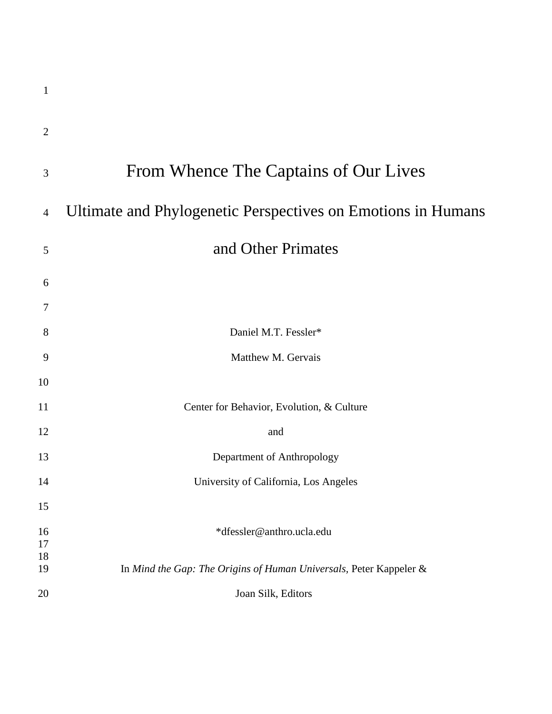| $\overline{2}$ |                                                                    |
|----------------|--------------------------------------------------------------------|
| 3              | From Whence The Captains of Our Lives                              |
| $\overline{4}$ | Ultimate and Phylogenetic Perspectives on Emotions in Humans       |
| 5              | and Other Primates                                                 |
| 6              |                                                                    |
| 7              |                                                                    |
| 8              | Daniel M.T. Fessler*                                               |
| 9              | Matthew M. Gervais                                                 |
| 10             |                                                                    |
| 11             | Center for Behavior, Evolution, & Culture                          |
| 12             | and                                                                |
| 13             | Department of Anthropology                                         |
| 14             | University of California, Los Angeles                              |
| 15             |                                                                    |
| 16             | *dfessler@anthro.ucla.edu                                          |
| 17<br>18<br>19 | In Mind the Gap: The Origins of Human Universals, Peter Kappeler & |
| 20             | Joan Silk, Editors                                                 |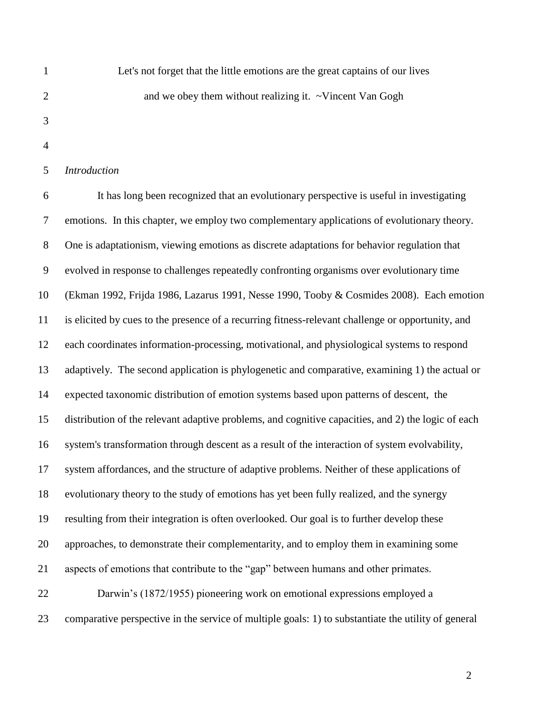Let's not forget that the little emotions are the great captains of our lives 2 and we obey them without realizing it. ~Vincent Van Gogh

- 
- 

*Introduction*

 It has long been recognized that an evolutionary perspective is useful in investigating emotions. In this chapter, we employ two complementary applications of evolutionary theory. One is adaptationism, viewing emotions as discrete adaptations for behavior regulation that evolved in response to challenges repeatedly confronting organisms over evolutionary time (Ekman 1992, Frijda 1986, Lazarus 1991, Nesse 1990, Tooby & Cosmides 2008). Each emotion is elicited by cues to the presence of a recurring fitness-relevant challenge or opportunity, and each coordinates information-processing, motivational, and physiological systems to respond adaptively. The second application is phylogenetic and comparative, examining 1) the actual or expected taxonomic distribution of emotion systems based upon patterns of descent, the distribution of the relevant adaptive problems, and cognitive capacities, and 2) the logic of each system's transformation through descent as a result of the interaction of system evolvability, system affordances, and the structure of adaptive problems. Neither of these applications of evolutionary theory to the study of emotions has yet been fully realized, and the synergy resulting from their integration is often overlooked. Our goal is to further develop these approaches, to demonstrate their complementarity, and to employ them in examining some aspects of emotions that contribute to the "gap" between humans and other primates. Darwin's (1872/1955) pioneering work on emotional expressions employed a comparative perspective in the service of multiple goals: 1) to substantiate the utility of general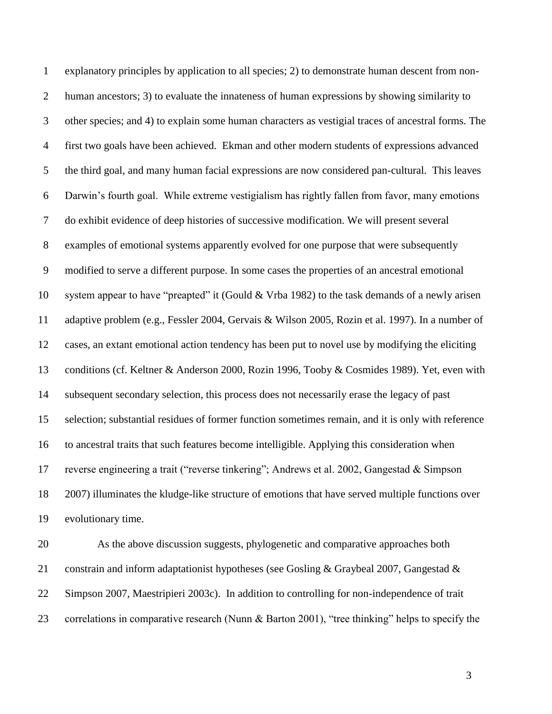explanatory principles by application to all species; 2) to demonstrate human descent from non- human ancestors; 3) to evaluate the innateness of human expressions by showing similarity to other species; and 4) to explain some human characters as vestigial traces of ancestral forms. The first two goals have been achieved. Ekman and other modern students of expressions advanced the third goal, and many human facial expressions are now considered pan-cultural. This leaves Darwin's fourth goal. While extreme vestigialism has rightly fallen from favor, many emotions do exhibit evidence of deep histories of successive modification. We will present several examples of emotional systems apparently evolved for one purpose that were subsequently modified to serve a different purpose. In some cases the properties of an ancestral emotional system appear to have "preapted" it (Gould & Vrba 1982) to the task demands of a newly arisen adaptive problem (e.g., Fessler 2004, Gervais & Wilson 2005, Rozin et al. 1997). In a number of cases, an extant emotional action tendency has been put to novel use by modifying the eliciting conditions (cf. Keltner & Anderson 2000, Rozin 1996, Tooby & Cosmides 1989). Yet, even with subsequent secondary selection, this process does not necessarily erase the legacy of past selection; substantial residues of former function sometimes remain, and it is only with reference to ancestral traits that such features become intelligible. Applying this consideration when reverse engineering a trait ("reverse tinkering"; Andrews et al. 2002, Gangestad & Simpson 2007) illuminates the kludge-like structure of emotions that have served multiple functions over evolutionary time.

 As the above discussion suggests, phylogenetic and comparative approaches both constrain and inform adaptationist hypotheses (see Gosling & Graybeal 2007, Gangestad & Simpson 2007, Maestripieri 2003c). In addition to controlling for non-independence of trait correlations in comparative research (Nunn & Barton 2001), "tree thinking" helps to specify the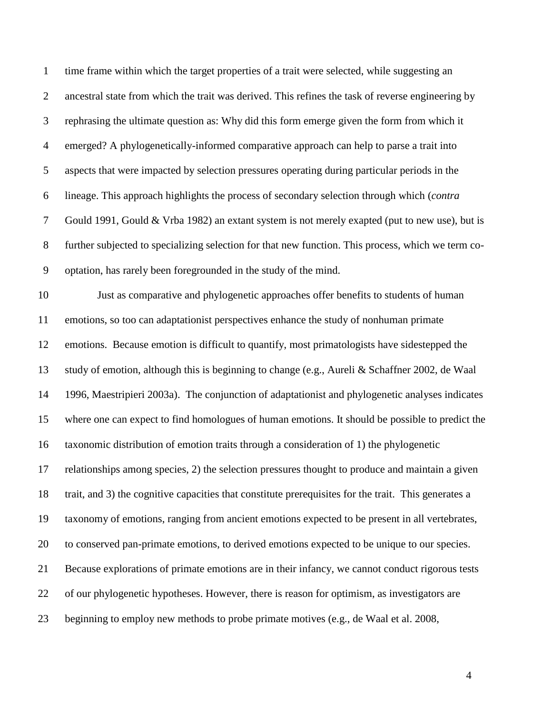| $\mathbf{1}$     | time frame within which the target properties of a trait were selected, while suggesting an          |
|------------------|------------------------------------------------------------------------------------------------------|
| $\mathfrak{2}$   | ancestral state from which the trait was derived. This refines the task of reverse engineering by    |
| 3                | rephrasing the ultimate question as: Why did this form emerge given the form from which it           |
| $\overline{4}$   | emerged? A phylogenetically-informed comparative approach can help to parse a trait into             |
| $\mathfrak{S}$   | aspects that were impacted by selection pressures operating during particular periods in the         |
| 6                | lineage. This approach highlights the process of secondary selection through which (contra           |
| $\boldsymbol{7}$ | Gould 1991, Gould & Vrba 1982) an extant system is not merely exapted (put to new use), but is       |
| $8\,$            | further subjected to specializing selection for that new function. This process, which we term co-   |
| $\overline{9}$   | optation, has rarely been foregrounded in the study of the mind.                                     |
| 10               | Just as comparative and phylogenetic approaches offer benefits to students of human                  |
| 11               | emotions, so too can adaptationist perspectives enhance the study of nonhuman primate                |
| 12               | emotions. Because emotion is difficult to quantify, most primatologists have sidestepped the         |
| 13               | study of emotion, although this is beginning to change (e.g., Aureli & Schaffner 2002, de Waal       |
| 14               | 1996, Maestripieri 2003a). The conjunction of adaptationist and phylogenetic analyses indicates      |
| 15               | where one can expect to find homologues of human emotions. It should be possible to predict the      |
| 16               | taxonomic distribution of emotion traits through a consideration of 1) the phylogenetic              |
| 17               | relationships among species, 2) the selection pressures thought to produce and maintain a given      |
| 18               | trait, and 3) the cognitive capacities that constitute prerequisites for the trait. This generates a |
| 19               | taxonomy of emotions, ranging from ancient emotions expected to be present in all vertebrates,       |
| 20               | to conserved pan-primate emotions, to derived emotions expected to be unique to our species.         |
| 21               | Because explorations of primate emotions are in their infancy, we cannot conduct rigorous tests      |
| 22               | of our phylogenetic hypotheses. However, there is reason for optimism, as investigators are          |
| 23               | beginning to employ new methods to probe primate motives (e.g., de Waal et al. 2008,                 |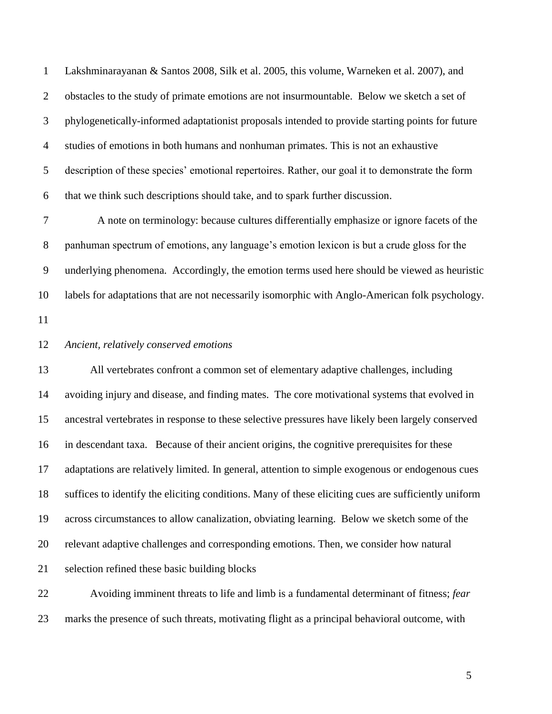Lakshminarayanan & Santos 2008, Silk et al. 2005, this volume, Warneken et al. 2007), and obstacles to the study of primate emotions are not insurmountable. Below we sketch a set of phylogenetically-informed adaptationist proposals intended to provide starting points for future studies of emotions in both humans and nonhuman primates. This is not an exhaustive description of these species' emotional repertoires. Rather, our goal it to demonstrate the form that we think such descriptions should take, and to spark further discussion.

 A note on terminology: because cultures differentially emphasize or ignore facets of the panhuman spectrum of emotions, any language's emotion lexicon is but a crude gloss for the underlying phenomena. Accordingly, the emotion terms used here should be viewed as heuristic labels for adaptations that are not necessarily isomorphic with Anglo-American folk psychology.

#### *Ancient, relatively conserved emotions*

 All vertebrates confront a common set of elementary adaptive challenges, including avoiding injury and disease, and finding mates. The core motivational systems that evolved in ancestral vertebrates in response to these selective pressures have likely been largely conserved in descendant taxa. Because of their ancient origins, the cognitive prerequisites for these adaptations are relatively limited. In general, attention to simple exogenous or endogenous cues suffices to identify the eliciting conditions. Many of these eliciting cues are sufficiently uniform across circumstances to allow canalization, obviating learning. Below we sketch some of the relevant adaptive challenges and corresponding emotions. Then, we consider how natural selection refined these basic building blocks

 Avoiding imminent threats to life and limb is a fundamental determinant of fitness; *fear* marks the presence of such threats, motivating flight as a principal behavioral outcome, with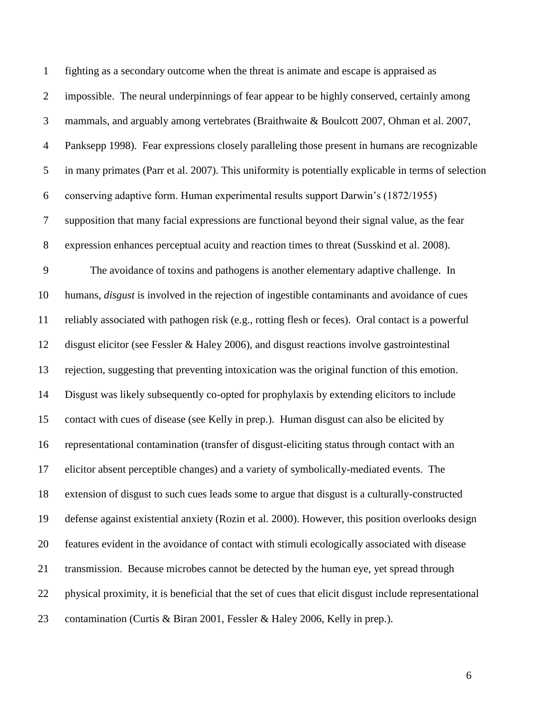| 1                | fighting as a secondary outcome when the threat is animate and escape is appraised as                  |
|------------------|--------------------------------------------------------------------------------------------------------|
| $\overline{2}$   | impossible. The neural underpinnings of fear appear to be highly conserved, certainly among            |
| 3                | mammals, and arguably among vertebrates (Braithwaite & Boulcott 2007, Ohman et al. 2007,               |
| $\overline{4}$   | Panksepp 1998). Fear expressions closely paralleling those present in humans are recognizable          |
| 5                | in many primates (Parr et al. 2007). This uniformity is potentially explicable in terms of selection   |
| 6                | conserving adaptive form. Human experimental results support Darwin's (1872/1955)                      |
| $\boldsymbol{7}$ | supposition that many facial expressions are functional beyond their signal value, as the fear         |
| $8\,$            | expression enhances perceptual acuity and reaction times to threat (Susskind et al. 2008).             |
| 9                | The avoidance of toxins and pathogens is another elementary adaptive challenge. In                     |
| 10               | humans, <i>disgust</i> is involved in the rejection of ingestible contaminants and avoidance of cues   |
| 11               | reliably associated with pathogen risk (e.g., rotting flesh or feces). Oral contact is a powerful      |
| 12               | disgust elicitor (see Fessler & Haley 2006), and disgust reactions involve gastrointestinal            |
| 13               | rejection, suggesting that preventing intoxication was the original function of this emotion.          |
| 14               | Disgust was likely subsequently co-opted for prophylaxis by extending elicitors to include             |
| 15               | contact with cues of disease (see Kelly in prep.). Human disgust can also be elicited by               |
| 16               | representational contamination (transfer of disgust-eliciting status through contact with an           |
| 17               | elicitor absent perceptible changes) and a variety of symbolically-mediated events. The                |
| 18               | extension of disgust to such cues leads some to argue that disgust is a culturally-constructed         |
| 19               | defense against existential anxiety (Rozin et al. 2000). However, this position overlooks design       |
| 20               | features evident in the avoidance of contact with stimuli ecologically associated with disease         |
| 21               | transmission. Because microbes cannot be detected by the human eye, yet spread through                 |
| 22               | physical proximity, it is beneficial that the set of cues that elicit disgust include representational |
| 23               | contamination (Curtis & Biran 2001, Fessler & Haley 2006, Kelly in prep.).                             |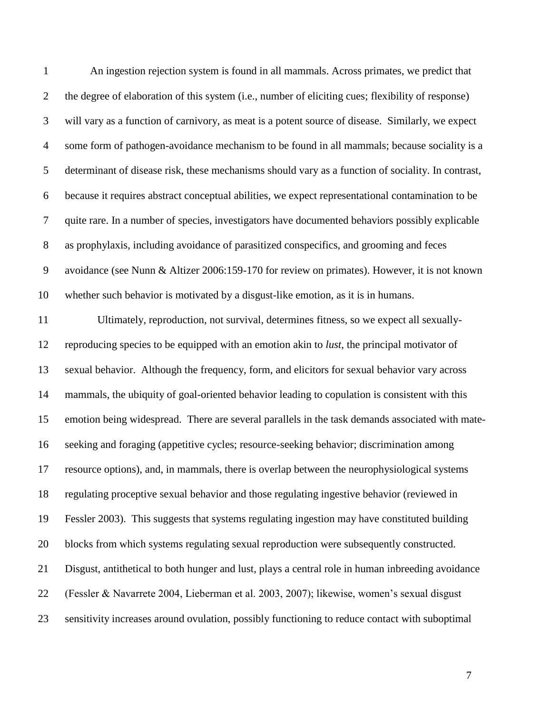An ingestion rejection system is found in all mammals. Across primates, we predict that the degree of elaboration of this system (i.e., number of eliciting cues; flexibility of response) will vary as a function of carnivory, as meat is a potent source of disease. Similarly, we expect some form of pathogen-avoidance mechanism to be found in all mammals; because sociality is a determinant of disease risk, these mechanisms should vary as a function of sociality. In contrast, because it requires abstract conceptual abilities, we expect representational contamination to be quite rare. In a number of species, investigators have documented behaviors possibly explicable as prophylaxis, including avoidance of parasitized conspecifics, and grooming and feces avoidance (see Nunn & Altizer 2006:159-170 for review on primates). However, it is not known whether such behavior is motivated by a disgust-like emotion, as it is in humans.

 Ultimately, reproduction, not survival, determines fitness, so we expect all sexually- reproducing species to be equipped with an emotion akin to *lust*, the principal motivator of sexual behavior. Although the frequency, form, and elicitors for sexual behavior vary across mammals, the ubiquity of goal-oriented behavior leading to copulation is consistent with this emotion being widespread. There are several parallels in the task demands associated with mate- seeking and foraging (appetitive cycles; resource-seeking behavior; discrimination among resource options), and, in mammals, there is overlap between the neurophysiological systems regulating proceptive sexual behavior and those regulating ingestive behavior (reviewed in Fessler 2003). This suggests that systems regulating ingestion may have constituted building blocks from which systems regulating sexual reproduction were subsequently constructed. Disgust, antithetical to both hunger and lust, plays a central role in human inbreeding avoidance (Fessler & Navarrete 2004, Lieberman et al. 2003, 2007); likewise, women's sexual disgust sensitivity increases around ovulation, possibly functioning to reduce contact with suboptimal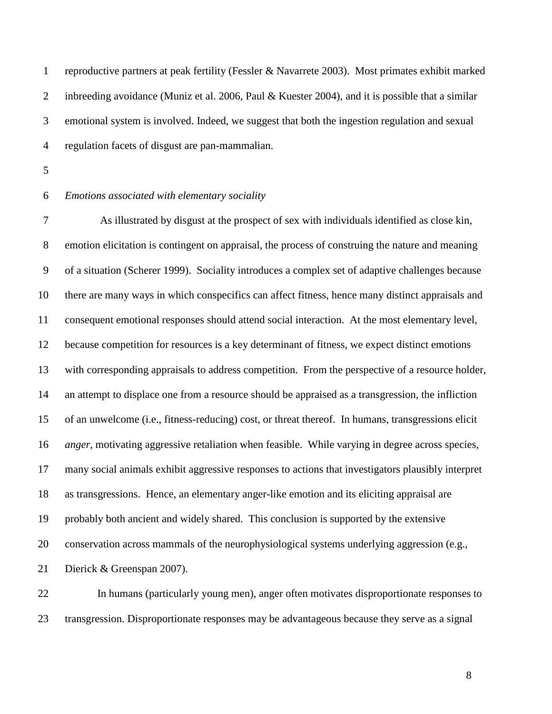reproductive partners at peak fertility (Fessler & Navarrete 2003). Most primates exhibit marked inbreeding avoidance (Muniz et al. 2006, Paul & Kuester 2004), and it is possible that a similar emotional system is involved. Indeed, we suggest that both the ingestion regulation and sexual regulation facets of disgust are pan-mammalian.

# *Emotions associated with elementary sociality*

 As illustrated by disgust at the prospect of sex with individuals identified as close kin, emotion elicitation is contingent on appraisal, the process of construing the nature and meaning of a situation (Scherer 1999). Sociality introduces a complex set of adaptive challenges because there are many ways in which conspecifics can affect fitness, hence many distinct appraisals and consequent emotional responses should attend social interaction. At the most elementary level, because competition for resources is a key determinant of fitness, we expect distinct emotions with corresponding appraisals to address competition. From the perspective of a resource holder, an attempt to displace one from a resource should be appraised as a transgression, the infliction of an unwelcome (i.e., fitness-reducing) cost, or threat thereof. In humans, transgressions elicit *anger*, motivating aggressive retaliation when feasible. While varying in degree across species, many social animals exhibit aggressive responses to actions that investigators plausibly interpret as transgressions. Hence, an elementary anger-like emotion and its eliciting appraisal are probably both ancient and widely shared. This conclusion is supported by the extensive conservation across mammals of the neurophysiological systems underlying aggression (e.g., Dierick & Greenspan 2007).

 In humans (particularly young men), anger often motivates disproportionate responses to transgression. Disproportionate responses may be advantageous because they serve as a signal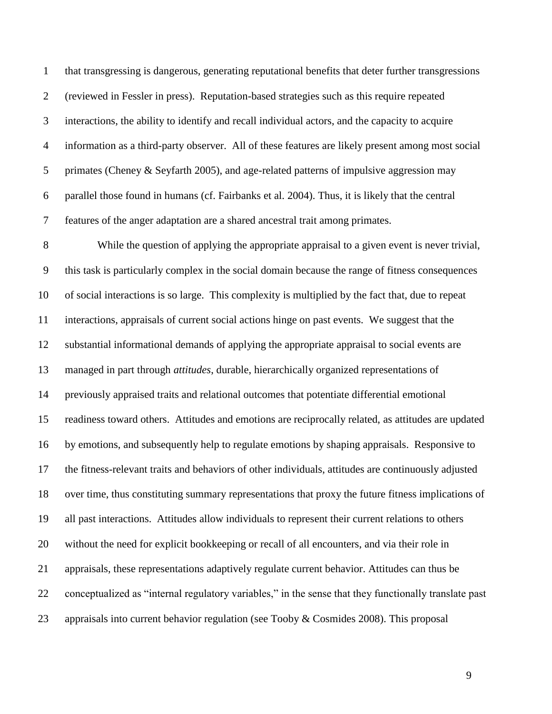that transgressing is dangerous, generating reputational benefits that deter further transgressions (reviewed in Fessler in press). Reputation-based strategies such as this require repeated interactions, the ability to identify and recall individual actors, and the capacity to acquire information as a third-party observer. All of these features are likely present among most social primates (Cheney & Seyfarth 2005), and age-related patterns of impulsive aggression may parallel those found in humans (cf. Fairbanks et al. 2004). Thus, it is likely that the central features of the anger adaptation are a shared ancestral trait among primates.

 While the question of applying the appropriate appraisal to a given event is never trivial, this task is particularly complex in the social domain because the range of fitness consequences of social interactions is so large. This complexity is multiplied by the fact that, due to repeat interactions, appraisals of current social actions hinge on past events. We suggest that the substantial informational demands of applying the appropriate appraisal to social events are managed in part through *attitudes*, durable, hierarchically organized representations of previously appraised traits and relational outcomes that potentiate differential emotional readiness toward others. Attitudes and emotions are reciprocally related, as attitudes are updated by emotions, and subsequently help to regulate emotions by shaping appraisals. Responsive to the fitness-relevant traits and behaviors of other individuals, attitudes are continuously adjusted over time, thus constituting summary representations that proxy the future fitness implications of all past interactions. Attitudes allow individuals to represent their current relations to others without the need for explicit bookkeeping or recall of all encounters, and via their role in appraisals, these representations adaptively regulate current behavior. Attitudes can thus be conceptualized as "internal regulatory variables," in the sense that they functionally translate past appraisals into current behavior regulation (see Tooby & Cosmides 2008). This proposal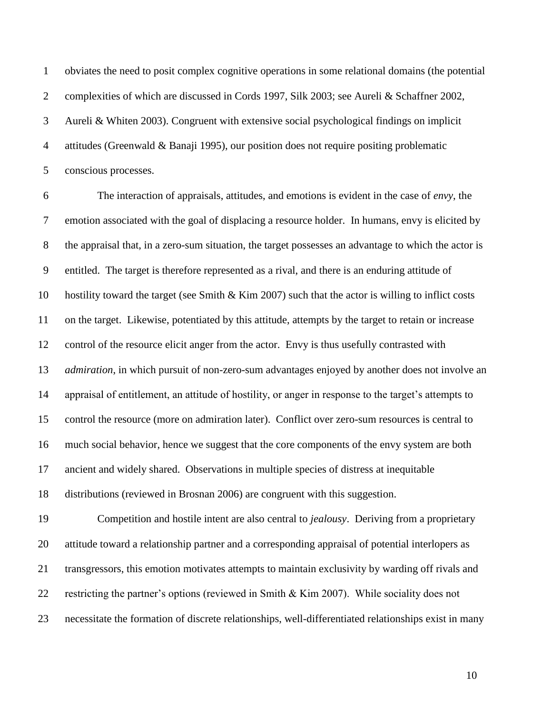obviates the need to posit complex cognitive operations in some relational domains (the potential complexities of which are discussed in Cords 1997, Silk 2003; see Aureli & Schaffner 2002, Aureli & Whiten 2003). Congruent with extensive social psychological findings on implicit attitudes (Greenwald & Banaji 1995), our position does not require positing problematic conscious processes.

 The interaction of appraisals, attitudes, and emotions is evident in the case of *envy*, the emotion associated with the goal of displacing a resource holder. In humans, envy is elicited by the appraisal that, in a zero-sum situation, the target possesses an advantage to which the actor is entitled. The target is therefore represented as a rival, and there is an enduring attitude of hostility toward the target (see Smith & Kim 2007) such that the actor is willing to inflict costs on the target. Likewise, potentiated by this attitude, attempts by the target to retain or increase control of the resource elicit anger from the actor. Envy is thus usefully contrasted with *admiration*, in which pursuit of non-zero-sum advantages enjoyed by another does not involve an appraisal of entitlement, an attitude of hostility, or anger in response to the target's attempts to control the resource (more on admiration later). Conflict over zero-sum resources is central to much social behavior, hence we suggest that the core components of the envy system are both ancient and widely shared. Observations in multiple species of distress at inequitable distributions (reviewed in Brosnan 2006) are congruent with this suggestion.

 Competition and hostile intent are also central to *jealousy*. Deriving from a proprietary attitude toward a relationship partner and a corresponding appraisal of potential interlopers as transgressors, this emotion motivates attempts to maintain exclusivity by warding off rivals and restricting the partner's options (reviewed in Smith & Kim 2007). While sociality does not necessitate the formation of discrete relationships, well-differentiated relationships exist in many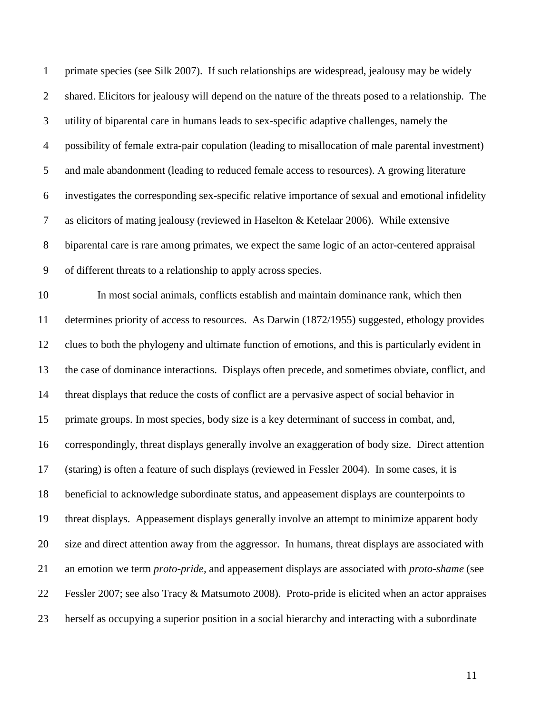| $\mathbf{1}$   | primate species (see Silk 2007). If such relationships are widespread, jealousy may be widely                |
|----------------|--------------------------------------------------------------------------------------------------------------|
| $\overline{2}$ | shared. Elicitors for jealousy will depend on the nature of the threats posed to a relationship. The         |
| 3              | utility of biparental care in humans leads to sex-specific adaptive challenges, namely the                   |
| $\overline{4}$ | possibility of female extra-pair copulation (leading to misallocation of male parental investment)           |
| 5              | and male abandonment (leading to reduced female access to resources). A growing literature                   |
| 6              | investigates the corresponding sex-specific relative importance of sexual and emotional infidelity           |
| $\tau$         | as elicitors of mating jealousy (reviewed in Haselton & Ketelaar 2006). While extensive                      |
| $8\,$          | biparental care is rare among primates, we expect the same logic of an actor-centered appraisal              |
| 9              | of different threats to a relationship to apply across species.                                              |
| 10             | In most social animals, conflicts establish and maintain dominance rank, which then                          |
| 11             | determines priority of access to resources. As Darwin (1872/1955) suggested, ethology provides               |
| 12             | clues to both the phylogeny and ultimate function of emotions, and this is particularly evident in           |
| 13             | the case of dominance interactions. Displays often precede, and sometimes obviate, conflict, and             |
| 14             | threat displays that reduce the costs of conflict are a pervasive aspect of social behavior in               |
| 15             | primate groups. In most species, body size is a key determinant of success in combat, and,                   |
| 16             | correspondingly, threat displays generally involve an exaggeration of body size. Direct attention            |
| 17             | (staring) is often a feature of such displays (reviewed in Fessler 2004). In some cases, it is               |
| 18             | beneficial to acknowledge subordinate status, and appeasement displays are counterpoints to                  |
| 19             | threat displays. Appeasement displays generally involve an attempt to minimize apparent body                 |
| 20             | size and direct attention away from the aggressor. In humans, threat displays are associated with            |
| 21             | an emotion we term <i>proto-pride</i> , and appeasement displays are associated with <i>proto-shame</i> (see |
| 22             | Fessler 2007; see also Tracy & Matsumoto 2008). Proto-pride is elicited when an actor appraises              |
| 23             | herself as occupying a superior position in a social hierarchy and interacting with a subordinate            |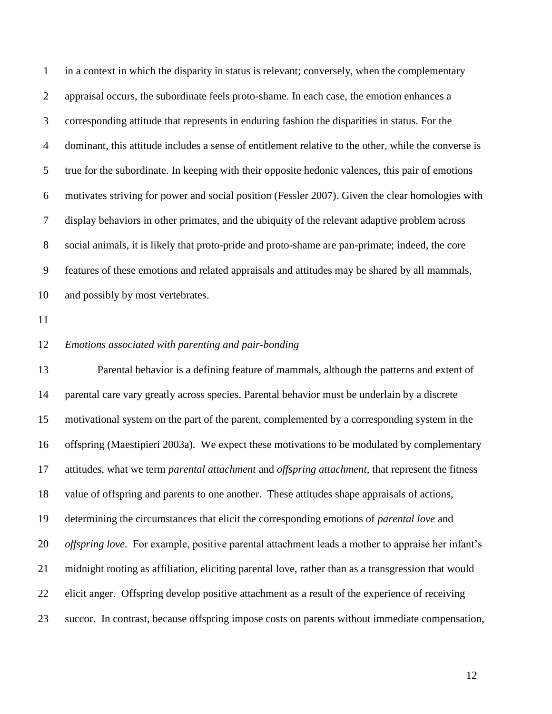in a context in which the disparity in status is relevant; conversely, when the complementary appraisal occurs, the subordinate feels proto-shame. In each case, the emotion enhances a corresponding attitude that represents in enduring fashion the disparities in status. For the dominant, this attitude includes a sense of entitlement relative to the other, while the converse is true for the subordinate. In keeping with their opposite hedonic valences, this pair of emotions motivates striving for power and social position (Fessler 2007). Given the clear homologies with display behaviors in other primates, and the ubiquity of the relevant adaptive problem across social animals, it is likely that proto-pride and proto-shame are pan-primate; indeed, the core features of these emotions and related appraisals and attitudes may be shared by all mammals, and possibly by most vertebrates.

### *Emotions associated with parenting and pair-bonding*

 Parental behavior is a defining feature of mammals, although the patterns and extent of parental care vary greatly across species. Parental behavior must be underlain by a discrete motivational system on the part of the parent, complemented by a corresponding system in the offspring (Maestipieri 2003a). We expect these motivations to be modulated by complementary attitudes, what we term *parental attachment* and *offspring attachment,* that represent the fitness value of offspring and parents to one another. These attitudes shape appraisals of actions, determining the circumstances that elicit the corresponding emotions of *parental love* and *offspring love*. For example, positive parental attachment leads a mother to appraise her infant's midnight rooting as affiliation, eliciting parental love, rather than as a transgression that would elicit anger. Offspring develop positive attachment as a result of the experience of receiving succor. In contrast, because offspring impose costs on parents without immediate compensation,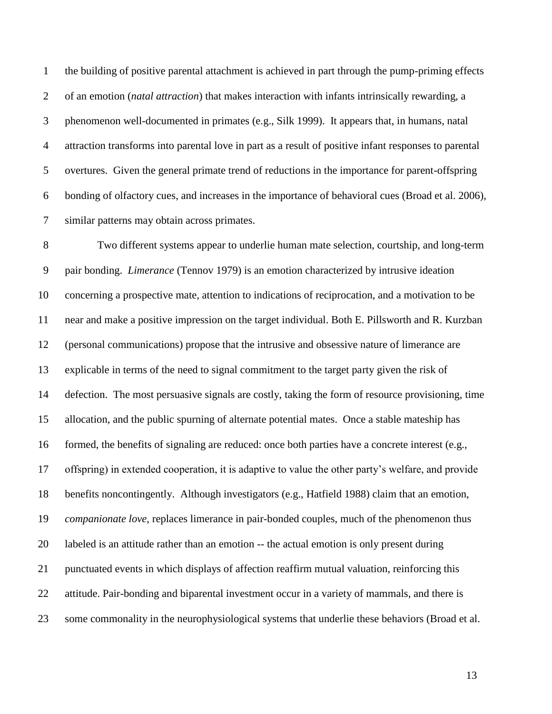the building of positive parental attachment is achieved in part through the pump-priming effects of an emotion (*natal attraction*) that makes interaction with infants intrinsically rewarding, a phenomenon well-documented in primates (e.g., Silk 1999). It appears that, in humans, natal attraction transforms into parental love in part as a result of positive infant responses to parental overtures. Given the general primate trend of reductions in the importance for parent-offspring bonding of olfactory cues, and increases in the importance of behavioral cues (Broad et al. 2006), similar patterns may obtain across primates.

 Two different systems appear to underlie human mate selection, courtship, and long-term pair bonding. *Limerance* (Tennov 1979) is an emotion characterized by intrusive ideation concerning a prospective mate, attention to indications of reciprocation, and a motivation to be near and make a positive impression on the target individual. Both E. Pillsworth and R. Kurzban (personal communications) propose that the intrusive and obsessive nature of limerance are explicable in terms of the need to signal commitment to the target party given the risk of defection. The most persuasive signals are costly, taking the form of resource provisioning, time allocation, and the public spurning of alternate potential mates. Once a stable mateship has formed, the benefits of signaling are reduced: once both parties have a concrete interest (e.g., offspring) in extended cooperation, it is adaptive to value the other party's welfare, and provide benefits noncontingently. Although investigators (e.g., Hatfield 1988) claim that an emotion, *companionate love,* replaces limerance in pair-bonded couples, much of the phenomenon thus labeled is an attitude rather than an emotion -- the actual emotion is only present during punctuated events in which displays of affection reaffirm mutual valuation, reinforcing this attitude. Pair-bonding and biparental investment occur in a variety of mammals, and there is some commonality in the neurophysiological systems that underlie these behaviors (Broad et al.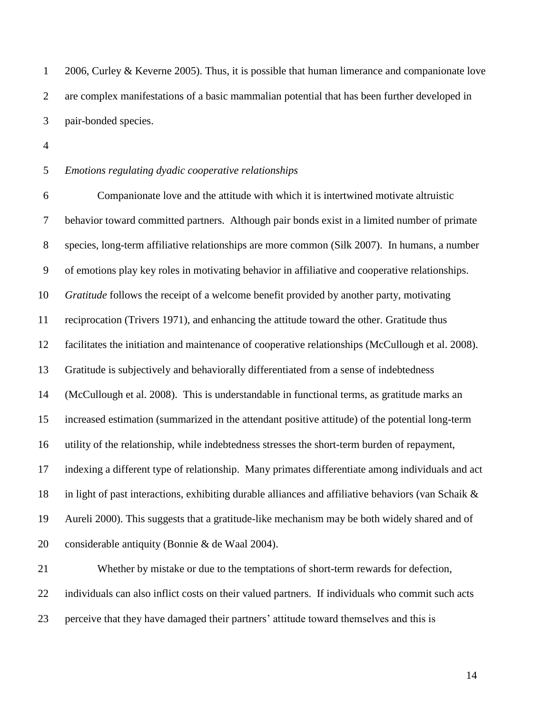2006, Curley & Keverne 2005). Thus, it is possible that human limerance and companionate love are complex manifestations of a basic mammalian potential that has been further developed in pair-bonded species.

# *Emotions regulating dyadic cooperative relationships*

 Companionate love and the attitude with which it is intertwined motivate altruistic behavior toward committed partners. Although pair bonds exist in a limited number of primate species, long-term affiliative relationships are more common (Silk 2007). In humans, a number of emotions play key roles in motivating behavior in affiliative and cooperative relationships. *Gratitude* follows the receipt of a welcome benefit provided by another party, motivating reciprocation (Trivers 1971), and enhancing the attitude toward the other. Gratitude thus facilitates the initiation and maintenance of cooperative relationships (McCullough et al. 2008). Gratitude is subjectively and behaviorally differentiated from a sense of indebtedness (McCullough et al. 2008). This is understandable in functional terms, as gratitude marks an increased estimation (summarized in the attendant positive attitude) of the potential long-term utility of the relationship, while indebtedness stresses the short-term burden of repayment, indexing a different type of relationship. Many primates differentiate among individuals and act in light of past interactions, exhibiting durable alliances and affiliative behaviors (van Schaik & Aureli 2000). This suggests that a gratitude-like mechanism may be both widely shared and of considerable antiquity (Bonnie & de Waal 2004).

 Whether by mistake or due to the temptations of short-term rewards for defection, individuals can also inflict costs on their valued partners. If individuals who commit such acts perceive that they have damaged their partners' attitude toward themselves and this is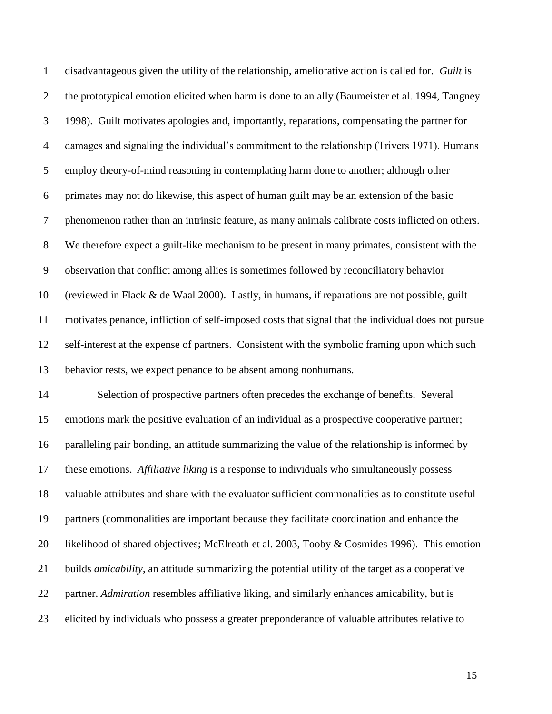disadvantageous given the utility of the relationship, ameliorative action is called for. *Guilt* is the prototypical emotion elicited when harm is done to an ally (Baumeister et al. 1994, Tangney 1998). Guilt motivates apologies and, importantly, reparations, compensating the partner for damages and signaling the individual's commitment to the relationship (Trivers 1971). Humans employ theory-of-mind reasoning in contemplating harm done to another; although other primates may not do likewise, this aspect of human guilt may be an extension of the basic phenomenon rather than an intrinsic feature, as many animals calibrate costs inflicted on others. We therefore expect a guilt-like mechanism to be present in many primates, consistent with the observation that conflict among allies is sometimes followed by reconciliatory behavior (reviewed in Flack & de Waal 2000). Lastly, in humans, if reparations are not possible, guilt motivates penance, infliction of self-imposed costs that signal that the individual does not pursue self-interest at the expense of partners. Consistent with the symbolic framing upon which such behavior rests, we expect penance to be absent among nonhumans.

 Selection of prospective partners often precedes the exchange of benefits. Several emotions mark the positive evaluation of an individual as a prospective cooperative partner; paralleling pair bonding, an attitude summarizing the value of the relationship is informed by these emotions. *Affiliative liking* is a response to individuals who simultaneously possess valuable attributes and share with the evaluator sufficient commonalities as to constitute useful partners (commonalities are important because they facilitate coordination and enhance the likelihood of shared objectives; McElreath et al. 2003, Tooby & Cosmides 1996). This emotion builds *amicability*, an attitude summarizing the potential utility of the target as a cooperative partner. *Admiration* resembles affiliative liking, and similarly enhances amicability, but is elicited by individuals who possess a greater preponderance of valuable attributes relative to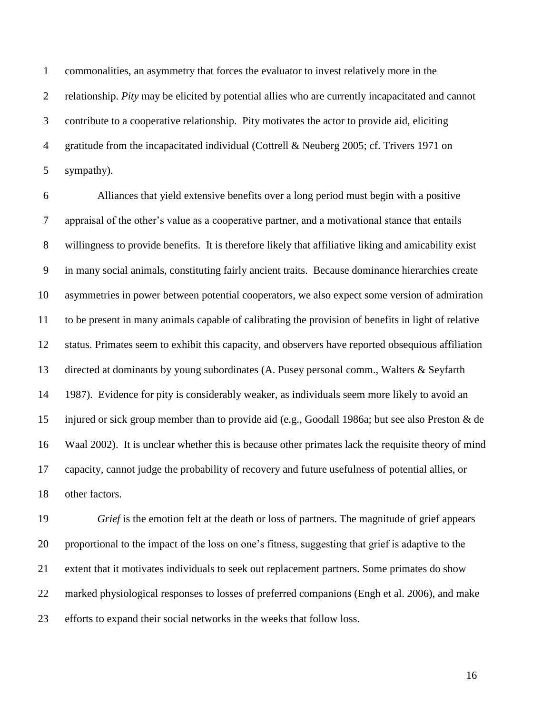commonalities, an asymmetry that forces the evaluator to invest relatively more in the relationship. *Pity* may be elicited by potential allies who are currently incapacitated and cannot contribute to a cooperative relationship. Pity motivates the actor to provide aid, eliciting gratitude from the incapacitated individual (Cottrell & Neuberg 2005; cf. Trivers 1971 on sympathy).

 Alliances that yield extensive benefits over a long period must begin with a positive appraisal of the other's value as a cooperative partner, and a motivational stance that entails willingness to provide benefits. It is therefore likely that affiliative liking and amicability exist in many social animals, constituting fairly ancient traits. Because dominance hierarchies create asymmetries in power between potential cooperators, we also expect some version of admiration to be present in many animals capable of calibrating the provision of benefits in light of relative status. Primates seem to exhibit this capacity, and observers have reported obsequious affiliation directed at dominants by young subordinates (A. Pusey personal comm., Walters & Seyfarth 1987). Evidence for pity is considerably weaker, as individuals seem more likely to avoid an injured or sick group member than to provide aid (e.g., Goodall 1986a; but see also Preston & de Waal 2002). It is unclear whether this is because other primates lack the requisite theory of mind capacity, cannot judge the probability of recovery and future usefulness of potential allies, or other factors.

 *Grief* is the emotion felt at the death or loss of partners. The magnitude of grief appears proportional to the impact of the loss on one's fitness, suggesting that grief is adaptive to the extent that it motivates individuals to seek out replacement partners. Some primates do show marked physiological responses to losses of preferred companions (Engh et al. 2006), and make efforts to expand their social networks in the weeks that follow loss.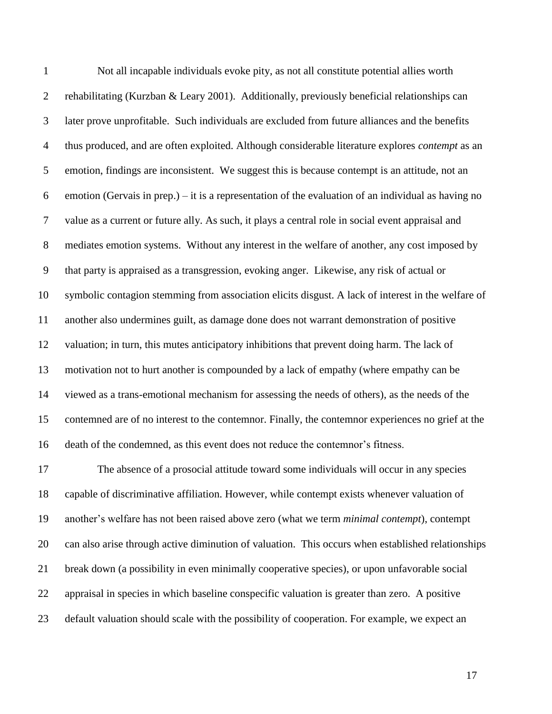Not all incapable individuals evoke pity, as not all constitute potential allies worth rehabilitating (Kurzban & Leary 2001). Additionally, previously beneficial relationships can later prove unprofitable. Such individuals are excluded from future alliances and the benefits thus produced, and are often exploited. Although considerable literature explores *contempt* as an emotion, findings are inconsistent. We suggest this is because contempt is an attitude, not an emotion (Gervais in prep.) – it is a representation of the evaluation of an individual as having no value as a current or future ally. As such, it plays a central role in social event appraisal and mediates emotion systems. Without any interest in the welfare of another, any cost imposed by that party is appraised as a transgression, evoking anger. Likewise, any risk of actual or symbolic contagion stemming from association elicits disgust. A lack of interest in the welfare of another also undermines guilt, as damage done does not warrant demonstration of positive valuation; in turn, this mutes anticipatory inhibitions that prevent doing harm. The lack of motivation not to hurt another is compounded by a lack of empathy (where empathy can be viewed as a trans-emotional mechanism for assessing the needs of others), as the needs of the contemned are of no interest to the contemnor. Finally, the contemnor experiences no grief at the death of the condemned, as this event does not reduce the contemnor's fitness. The absence of a prosocial attitude toward some individuals will occur in any species

 capable of discriminative affiliation. However, while contempt exists whenever valuation of another's welfare has not been raised above zero (what we term *minimal contempt*), contempt can also arise through active diminution of valuation. This occurs when established relationships break down (a possibility in even minimally cooperative species), or upon unfavorable social appraisal in species in which baseline conspecific valuation is greater than zero. A positive default valuation should scale with the possibility of cooperation. For example, we expect an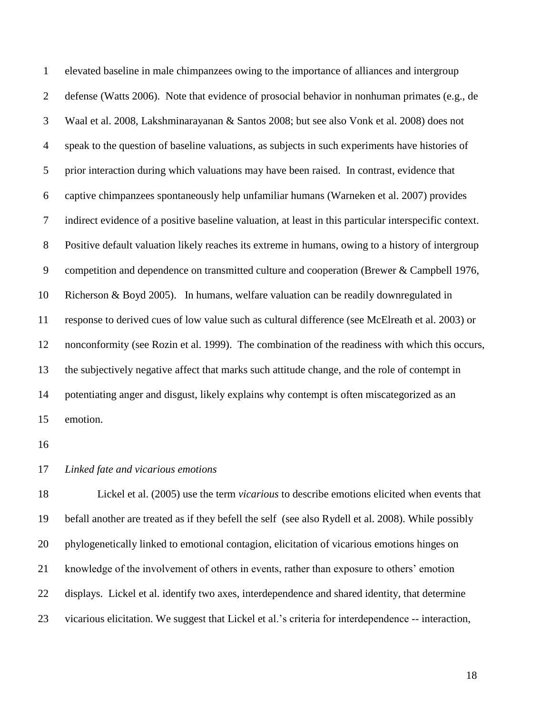elevated baseline in male chimpanzees owing to the importance of alliances and intergroup defense (Watts 2006). Note that evidence of prosocial behavior in nonhuman primates (e.g., de Waal et al. 2008, Lakshminarayanan & Santos 2008; but see also Vonk et al. 2008) does not speak to the question of baseline valuations, as subjects in such experiments have histories of prior interaction during which valuations may have been raised. In contrast, evidence that captive chimpanzees spontaneously help unfamiliar humans (Warneken et al. 2007) provides indirect evidence of a positive baseline valuation, at least in this particular interspecific context. Positive default valuation likely reaches its extreme in humans, owing to a history of intergroup competition and dependence on transmitted culture and cooperation (Brewer & Campbell 1976, Richerson & Boyd 2005). In humans, welfare valuation can be readily downregulated in response to derived cues of low value such as cultural difference (see McElreath et al. 2003) or nonconformity (see Rozin et al. 1999). The combination of the readiness with which this occurs, the subjectively negative affect that marks such attitude change, and the role of contempt in potentiating anger and disgust, likely explains why contempt is often miscategorized as an emotion.

# *Linked fate and vicarious emotions*

 Lickel et al. (2005) use the term *vicarious* to describe emotions elicited when events that befall another are treated as if they befell the self (see also Rydell et al. 2008). While possibly phylogenetically linked to emotional contagion, elicitation of vicarious emotions hinges on knowledge of the involvement of others in events, rather than exposure to others' emotion displays. Lickel et al. identify two axes, interdependence and shared identity, that determine vicarious elicitation. We suggest that Lickel et al.'s criteria for interdependence -- interaction,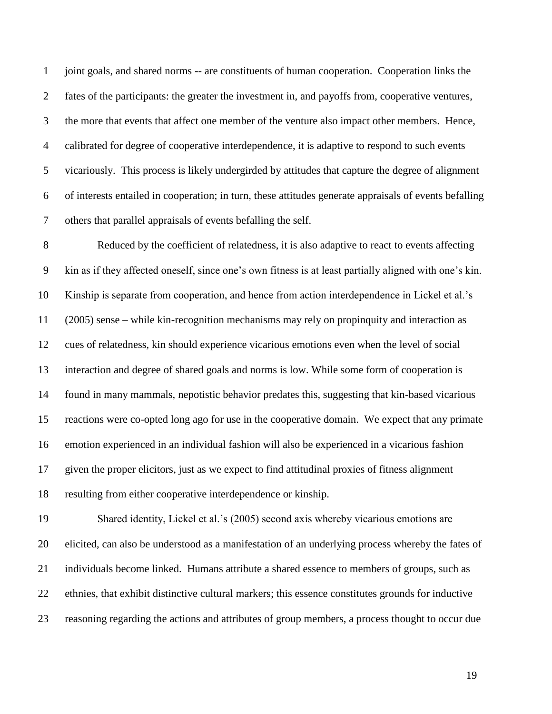joint goals, and shared norms -- are constituents of human cooperation. Cooperation links the fates of the participants: the greater the investment in, and payoffs from, cooperative ventures, the more that events that affect one member of the venture also impact other members. Hence, calibrated for degree of cooperative interdependence, it is adaptive to respond to such events vicariously. This process is likely undergirded by attitudes that capture the degree of alignment of interests entailed in cooperation; in turn, these attitudes generate appraisals of events befalling others that parallel appraisals of events befalling the self.

 Reduced by the coefficient of relatedness, it is also adaptive to react to events affecting kin as if they affected oneself, since one's own fitness is at least partially aligned with one's kin. Kinship is separate from cooperation, and hence from action interdependence in Lickel et al.'s (2005) sense – while kin-recognition mechanisms may rely on propinquity and interaction as cues of relatedness, kin should experience vicarious emotions even when the level of social interaction and degree of shared goals and norms is low. While some form of cooperation is found in many mammals, nepotistic behavior predates this, suggesting that kin-based vicarious reactions were co-opted long ago for use in the cooperative domain. We expect that any primate emotion experienced in an individual fashion will also be experienced in a vicarious fashion given the proper elicitors, just as we expect to find attitudinal proxies of fitness alignment resulting from either cooperative interdependence or kinship.

 Shared identity, Lickel et al.'s (2005) second axis whereby vicarious emotions are elicited, can also be understood as a manifestation of an underlying process whereby the fates of individuals become linked. Humans attribute a shared essence to members of groups, such as ethnies, that exhibit distinctive cultural markers; this essence constitutes grounds for inductive reasoning regarding the actions and attributes of group members, a process thought to occur due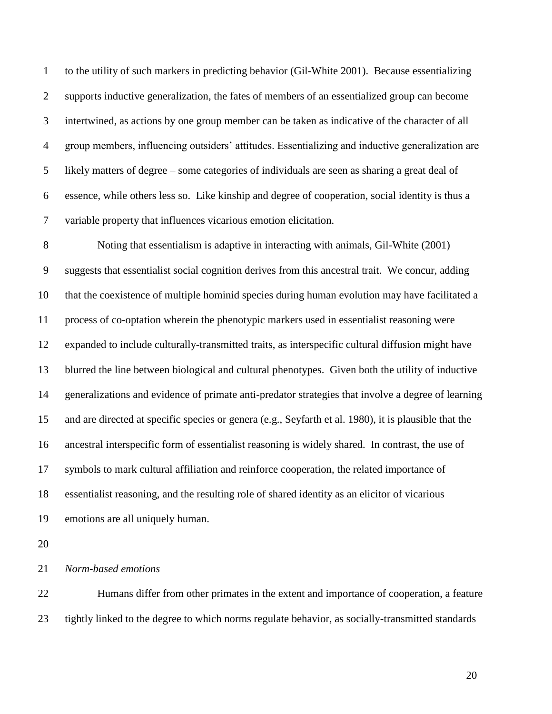to the utility of such markers in predicting behavior (Gil-White 2001). Because essentializing supports inductive generalization, the fates of members of an essentialized group can become intertwined, as actions by one group member can be taken as indicative of the character of all group members, influencing outsiders' attitudes. Essentializing and inductive generalization are likely matters of degree – some categories of individuals are seen as sharing a great deal of essence, while others less so. Like kinship and degree of cooperation, social identity is thus a variable property that influences vicarious emotion elicitation.

 Noting that essentialism is adaptive in interacting with animals, Gil-White (2001) suggests that essentialist social cognition derives from this ancestral trait. We concur, adding that the coexistence of multiple hominid species during human evolution may have facilitated a process of co-optation wherein the phenotypic markers used in essentialist reasoning were expanded to include culturally-transmitted traits, as interspecific cultural diffusion might have blurred the line between biological and cultural phenotypes. Given both the utility of inductive generalizations and evidence of primate anti-predator strategies that involve a degree of learning and are directed at specific species or genera (e.g., Seyfarth et al. 1980), it is plausible that the ancestral interspecific form of essentialist reasoning is widely shared. In contrast, the use of symbols to mark cultural affiliation and reinforce cooperation, the related importance of essentialist reasoning, and the resulting role of shared identity as an elicitor of vicarious emotions are all uniquely human.

*Norm-based emotions*

 Humans differ from other primates in the extent and importance of cooperation, a feature tightly linked to the degree to which norms regulate behavior, as socially-transmitted standards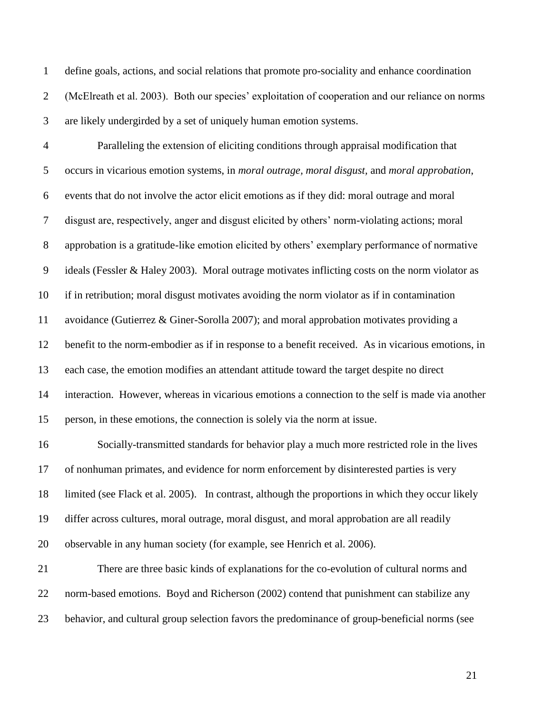define goals, actions, and social relations that promote pro-sociality and enhance coordination (McElreath et al. 2003). Both our species' exploitation of cooperation and our reliance on norms are likely undergirded by a set of uniquely human emotion systems.

 Paralleling the extension of eliciting conditions through appraisal modification that occurs in vicarious emotion systems, in *moral outrage, moral disgust,* and *moral approbation*, events that do not involve the actor elicit emotions as if they did: moral outrage and moral disgust are, respectively, anger and disgust elicited by others' norm-violating actions; moral approbation is a gratitude-like emotion elicited by others' exemplary performance of normative ideals (Fessler & Haley 2003). Moral outrage motivates inflicting costs on the norm violator as if in retribution; moral disgust motivates avoiding the norm violator as if in contamination avoidance (Gutierrez & Giner-Sorolla 2007); and moral approbation motivates providing a benefit to the norm-embodier as if in response to a benefit received. As in vicarious emotions, in each case, the emotion modifies an attendant attitude toward the target despite no direct interaction. However, whereas in vicarious emotions a connection to the self is made via another person, in these emotions, the connection is solely via the norm at issue.

 Socially-transmitted standards for behavior play a much more restricted role in the lives of nonhuman primates, and evidence for norm enforcement by disinterested parties is very limited (see Flack et al. 2005). In contrast, although the proportions in which they occur likely differ across cultures, moral outrage, moral disgust, and moral approbation are all readily observable in any human society (for example, see Henrich et al. 2006).

 There are three basic kinds of explanations for the co-evolution of cultural norms and norm-based emotions. Boyd and Richerson (2002) contend that punishment can stabilize any behavior, and cultural group selection favors the predominance of group-beneficial norms (see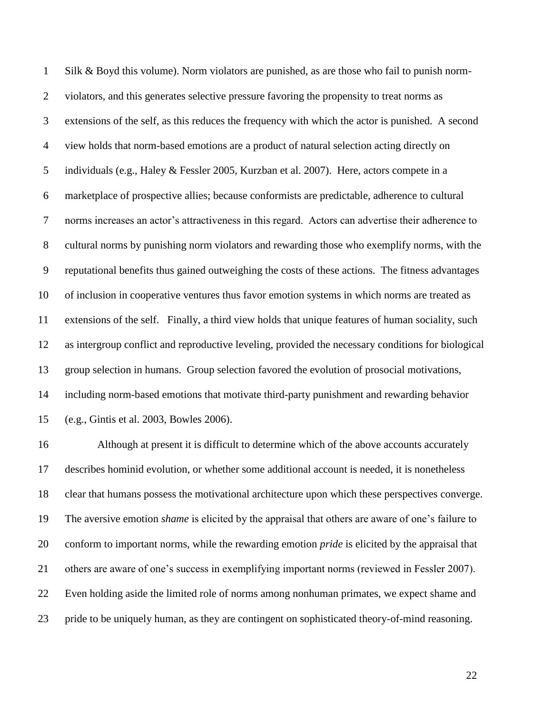Silk & Boyd this volume). Norm violators are punished, as are those who fail to punish norm- violators, and this generates selective pressure favoring the propensity to treat norms as extensions of the self, as this reduces the frequency with which the actor is punished. A second view holds that norm-based emotions are a product of natural selection acting directly on individuals (e.g., Haley & Fessler 2005, Kurzban et al. 2007). Here, actors compete in a marketplace of prospective allies; because conformists are predictable, adherence to cultural norms increases an actor's attractiveness in this regard. Actors can advertise their adherence to cultural norms by punishing norm violators and rewarding those who exemplify norms, with the reputational benefits thus gained outweighing the costs of these actions. The fitness advantages of inclusion in cooperative ventures thus favor emotion systems in which norms are treated as extensions of the self. Finally, a third view holds that unique features of human sociality, such as intergroup conflict and reproductive leveling, provided the necessary conditions for biological group selection in humans. Group selection favored the evolution of prosocial motivations, including norm-based emotions that motivate third-party punishment and rewarding behavior (e.g., Gintis et al. 2003, Bowles 2006).

 Although at present it is difficult to determine which of the above accounts accurately describes hominid evolution, or whether some additional account is needed, it is nonetheless clear that humans possess the motivational architecture upon which these perspectives converge. The aversive emotion *shame* is elicited by the appraisal that others are aware of one's failure to conform to important norms, while the rewarding emotion *pride* is elicited by the appraisal that others are aware of one's success in exemplifying important norms (reviewed in Fessler 2007). Even holding aside the limited role of norms among nonhuman primates, we expect shame and pride to be uniquely human, as they are contingent on sophisticated theory-of-mind reasoning.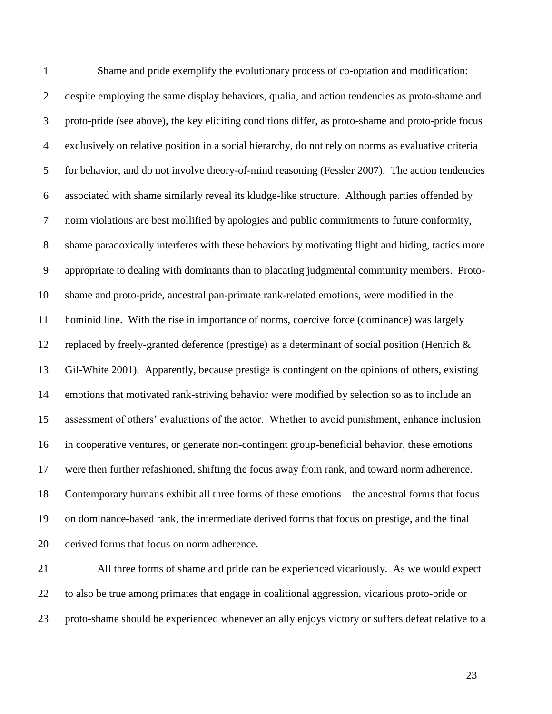Shame and pride exemplify the evolutionary process of co-optation and modification: despite employing the same display behaviors, qualia, and action tendencies as proto-shame and proto-pride (see above), the key eliciting conditions differ, as proto-shame and proto-pride focus exclusively on relative position in a social hierarchy, do not rely on norms as evaluative criteria for behavior, and do not involve theory-of-mind reasoning (Fessler 2007). The action tendencies associated with shame similarly reveal its kludge-like structure. Although parties offended by norm violations are best mollified by apologies and public commitments to future conformity, shame paradoxically interferes with these behaviors by motivating flight and hiding, tactics more appropriate to dealing with dominants than to placating judgmental community members. Proto- shame and proto-pride, ancestral pan-primate rank-related emotions, were modified in the hominid line. With the rise in importance of norms, coercive force (dominance) was largely replaced by freely-granted deference (prestige) as a determinant of social position (Henrich & Gil-White 2001). Apparently, because prestige is contingent on the opinions of others, existing emotions that motivated rank-striving behavior were modified by selection so as to include an assessment of others' evaluations of the actor. Whether to avoid punishment, enhance inclusion in cooperative ventures, or generate non-contingent group-beneficial behavior, these emotions were then further refashioned, shifting the focus away from rank, and toward norm adherence. Contemporary humans exhibit all three forms of these emotions – the ancestral forms that focus on dominance-based rank, the intermediate derived forms that focus on prestige, and the final derived forms that focus on norm adherence.

 All three forms of shame and pride can be experienced vicariously. As we would expect to also be true among primates that engage in coalitional aggression, vicarious proto-pride or proto-shame should be experienced whenever an ally enjoys victory or suffers defeat relative to a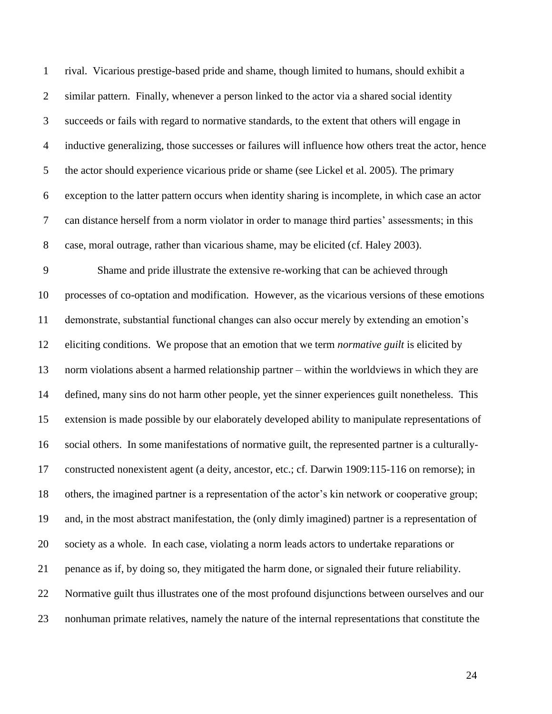rival. Vicarious prestige-based pride and shame, though limited to humans, should exhibit a similar pattern. Finally, whenever a person linked to the actor via a shared social identity succeeds or fails with regard to normative standards, to the extent that others will engage in inductive generalizing, those successes or failures will influence how others treat the actor, hence the actor should experience vicarious pride or shame (see Lickel et al. 2005). The primary exception to the latter pattern occurs when identity sharing is incomplete, in which case an actor can distance herself from a norm violator in order to manage third parties' assessments; in this case, moral outrage, rather than vicarious shame, may be elicited (cf. Haley 2003). Shame and pride illustrate the extensive re-working that can be achieved through processes of co-optation and modification. However, as the vicarious versions of these emotions demonstrate, substantial functional changes can also occur merely by extending an emotion's eliciting conditions. We propose that an emotion that we term *normative guilt* is elicited by norm violations absent a harmed relationship partner – within the worldviews in which they are defined, many sins do not harm other people, yet the sinner experiences guilt nonetheless. This extension is made possible by our elaborately developed ability to manipulate representations of social others. In some manifestations of normative guilt, the represented partner is a culturally- constructed nonexistent agent (a deity, ancestor, etc.; cf. Darwin 1909:115-116 on remorse); in others, the imagined partner is a representation of the actor's kin network or cooperative group; and, in the most abstract manifestation, the (only dimly imagined) partner is a representation of society as a whole. In each case, violating a norm leads actors to undertake reparations or penance as if, by doing so, they mitigated the harm done, or signaled their future reliability. Normative guilt thus illustrates one of the most profound disjunctions between ourselves and our nonhuman primate relatives, namely the nature of the internal representations that constitute the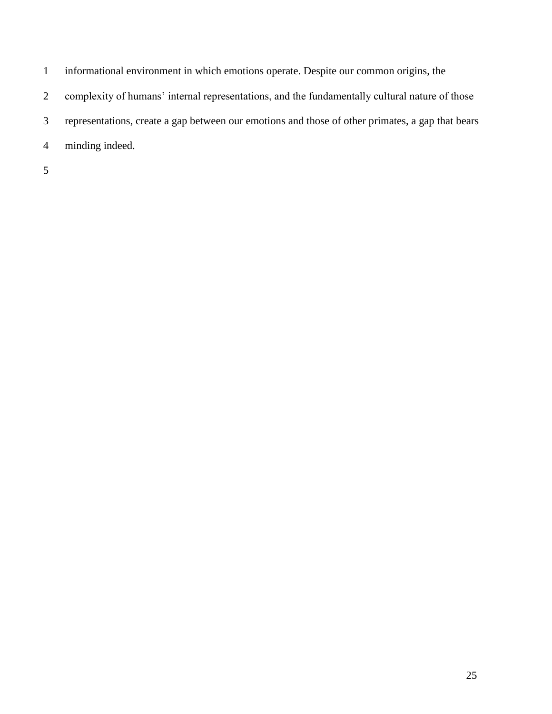- informational environment in which emotions operate. Despite our common origins, the
- complexity of humans' internal representations, and the fundamentally cultural nature of those
- representations, create a gap between our emotions and those of other primates, a gap that bears
- minding indeed.
-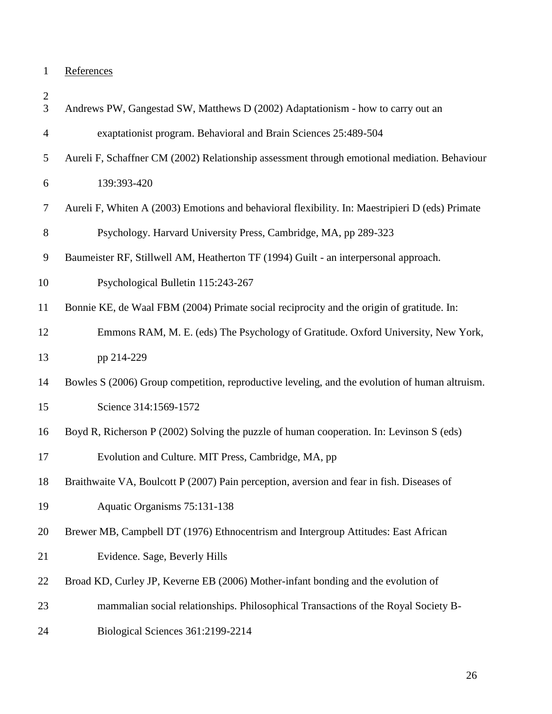| References |
|------------|
|            |

| $\overline{2}$<br>3 | Andrews PW, Gangestad SW, Matthews D (2002) Adaptationism - how to carry out an                 |
|---------------------|-------------------------------------------------------------------------------------------------|
| $\overline{4}$      | exaptationist program. Behavioral and Brain Sciences 25:489-504                                 |
| 5                   | Aureli F, Schaffner CM (2002) Relationship assessment through emotional mediation. Behaviour    |
| 6                   | 139:393-420                                                                                     |
| $\tau$              | Aureli F, Whiten A (2003) Emotions and behavioral flexibility. In: Maestripieri D (eds) Primate |
| $8\phantom{1}$      | Psychology. Harvard University Press, Cambridge, MA, pp 289-323                                 |
| 9                   | Baumeister RF, Stillwell AM, Heatherton TF (1994) Guilt - an interpersonal approach.            |
| 10                  | Psychological Bulletin 115:243-267                                                              |
| 11                  | Bonnie KE, de Waal FBM (2004) Primate social reciprocity and the origin of gratitude. In:       |
| 12                  | Emmons RAM, M. E. (eds) The Psychology of Gratitude. Oxford University, New York,               |
| 13                  | pp 214-229                                                                                      |
| 14                  | Bowles S (2006) Group competition, reproductive leveling, and the evolution of human altruism.  |
| 15                  | Science 314:1569-1572                                                                           |
| 16                  | Boyd R, Richerson P (2002) Solving the puzzle of human cooperation. In: Levinson S (eds)        |
| 17                  | Evolution and Culture. MIT Press, Cambridge, MA, pp                                             |
| 18                  | Braithwaite VA, Boulcott P (2007) Pain perception, aversion and fear in fish. Diseases of       |
| 19                  | Aquatic Organisms 75:131-138                                                                    |
| 20                  | Brewer MB, Campbell DT (1976) Ethnocentrism and Intergroup Attitudes: East African              |
| 21                  | Evidence. Sage, Beverly Hills                                                                   |
| 22                  | Broad KD, Curley JP, Keverne EB (2006) Mother-infant bonding and the evolution of               |
| 23                  | mammalian social relationships. Philosophical Transactions of the Royal Society B-              |
| 24                  | Biological Sciences 361:2199-2214                                                               |
|                     |                                                                                                 |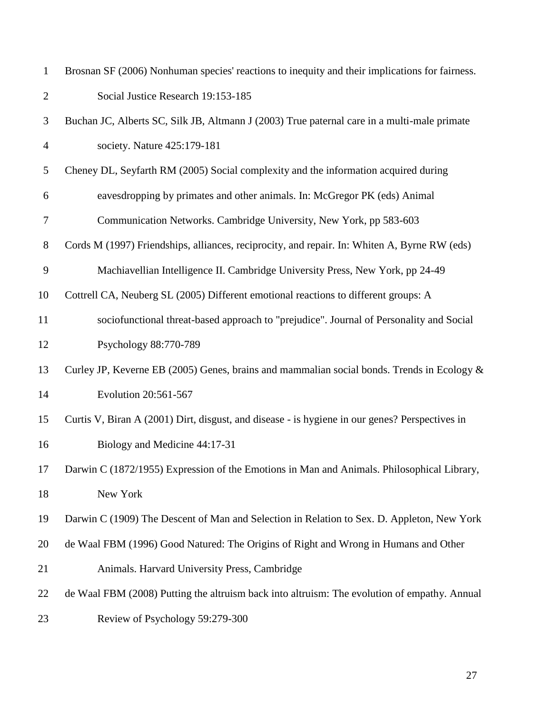| $\mathbf{1}$   | Brosnan SF (2006) Nonhuman species' reactions to inequity and their implications for fairness. |
|----------------|------------------------------------------------------------------------------------------------|
| $\overline{2}$ | Social Justice Research 19:153-185                                                             |
| 3              | Buchan JC, Alberts SC, Silk JB, Altmann J (2003) True paternal care in a multi-male primate    |
| $\overline{4}$ | society. Nature 425:179-181                                                                    |
| 5              | Cheney DL, Seyfarth RM (2005) Social complexity and the information acquired during            |
| 6              | eavesdropping by primates and other animals. In: McGregor PK (eds) Animal                      |
| 7              | Communication Networks. Cambridge University, New York, pp 583-603                             |
| 8              | Cords M (1997) Friendships, alliances, reciprocity, and repair. In: Whiten A, Byrne RW (eds)   |
| 9              | Machiavellian Intelligence II. Cambridge University Press, New York, pp 24-49                  |
| 10             | Cottrell CA, Neuberg SL (2005) Different emotional reactions to different groups: A            |
| 11             | sociofunctional threat-based approach to "prejudice". Journal of Personality and Social        |
| 12             | Psychology 88:770-789                                                                          |
| 13             | Curley JP, Keverne EB (2005) Genes, brains and mammalian social bonds. Trends in Ecology &     |
| 14             | Evolution 20:561-567                                                                           |
| 15             | Curtis V, Biran A (2001) Dirt, disgust, and disease - is hygiene in our genes? Perspectives in |
| 16             | Biology and Medicine 44:17-31                                                                  |
| 17             | Darwin C (1872/1955) Expression of the Emotions in Man and Animals. Philosophical Library,     |
| 18             | New York                                                                                       |
| 19             | Darwin C (1909) The Descent of Man and Selection in Relation to Sex. D. Appleton, New York     |
| 20             | de Waal FBM (1996) Good Natured: The Origins of Right and Wrong in Humans and Other            |
| 21             | Animals. Harvard University Press, Cambridge                                                   |
| 22             | de Waal FBM (2008) Putting the altruism back into altruism: The evolution of empathy. Annual   |
| 23             | Review of Psychology 59:279-300                                                                |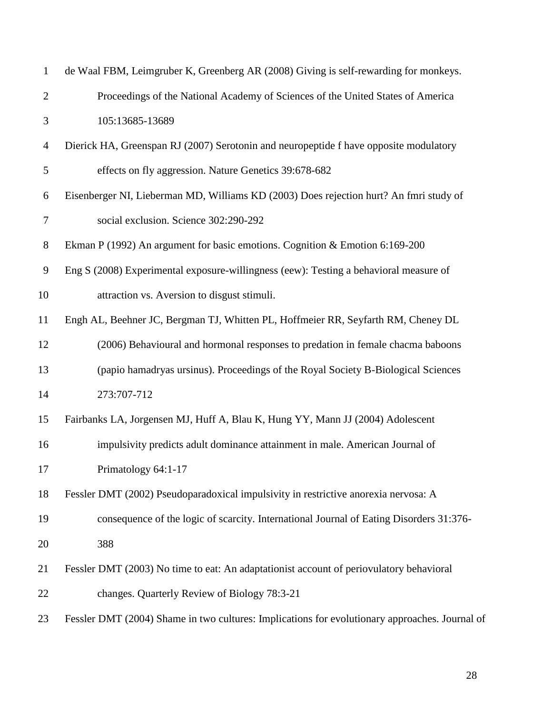| $\mathbf{1}$   | de Waal FBM, Leimgruber K, Greenberg AR (2008) Giving is self-rewarding for monkeys.           |
|----------------|------------------------------------------------------------------------------------------------|
| $\overline{2}$ | Proceedings of the National Academy of Sciences of the United States of America                |
| 3              | 105:13685-13689                                                                                |
| $\overline{4}$ | Dierick HA, Greenspan RJ (2007) Serotonin and neuropeptide f have opposite modulatory          |
| 5              | effects on fly aggression. Nature Genetics 39:678-682                                          |
| 6              | Eisenberger NI, Lieberman MD, Williams KD (2003) Does rejection hurt? An fmri study of         |
| 7              | social exclusion. Science 302:290-292                                                          |
| 8              | Ekman P (1992) An argument for basic emotions. Cognition & Emotion 6:169-200                   |
| $\mathbf{9}$   | Eng S (2008) Experimental exposure-willingness (eew): Testing a behavioral measure of          |
| 10             | attraction vs. Aversion to disgust stimuli.                                                    |
| 11             | Engh AL, Beehner JC, Bergman TJ, Whitten PL, Hoffmeier RR, Seyfarth RM, Cheney DL              |
| 12             | (2006) Behavioural and hormonal responses to predation in female chacma baboons                |
| 13             | (papio hamadryas ursinus). Proceedings of the Royal Society B-Biological Sciences              |
| 14             | 273:707-712                                                                                    |
| 15             | Fairbanks LA, Jorgensen MJ, Huff A, Blau K, Hung YY, Mann JJ (2004) Adolescent                 |
| 16             | impulsivity predicts adult dominance attainment in male. American Journal of                   |
| 17             | Primatology 64:1-17                                                                            |
| 18             | Fessler DMT (2002) Pseudoparadoxical impulsivity in restrictive anorexia nervosa: A            |
| 19             | consequence of the logic of scarcity. International Journal of Eating Disorders 31:376-        |
| 20             | 388                                                                                            |
| 21             | Fessler DMT (2003) No time to eat: An adaptationist account of periovulatory behavioral        |
| 22             | changes. Quarterly Review of Biology 78:3-21                                                   |
| 23             | Fessler DMT (2004) Shame in two cultures: Implications for evolutionary approaches. Journal of |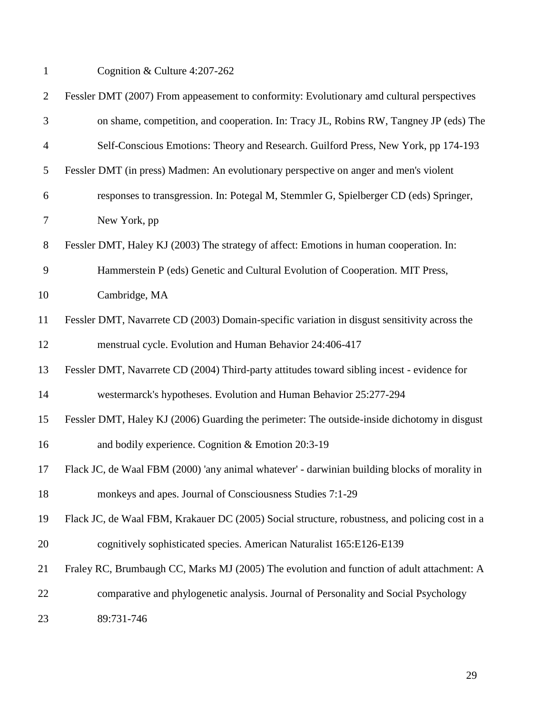Cognition & Culture 4:207-262

| $\overline{2}$ | Fessler DMT (2007) From appeasement to conformity: Evolutionary amd cultural perspectives      |
|----------------|------------------------------------------------------------------------------------------------|
| 3              | on shame, competition, and cooperation. In: Tracy JL, Robins RW, Tangney JP (eds) The          |
| $\overline{4}$ | Self-Conscious Emotions: Theory and Research. Guilford Press, New York, pp 174-193             |
| 5              | Fessler DMT (in press) Madmen: An evolutionary perspective on anger and men's violent          |
| 6              | responses to transgression. In: Potegal M, Stemmler G, Spielberger CD (eds) Springer,          |
| 7              | New York, pp                                                                                   |
| $8\,$          | Fessler DMT, Haley KJ (2003) The strategy of affect: Emotions in human cooperation. In:        |
| 9              | Hammerstein P (eds) Genetic and Cultural Evolution of Cooperation. MIT Press,                  |
| 10             | Cambridge, MA                                                                                  |
| 11             | Fessler DMT, Navarrete CD (2003) Domain-specific variation in disgust sensitivity across the   |
| 12             | menstrual cycle. Evolution and Human Behavior 24:406-417                                       |
| 13             | Fessler DMT, Navarrete CD (2004) Third-party attitudes toward sibling incest - evidence for    |
| 14             | westermarck's hypotheses. Evolution and Human Behavior 25:277-294                              |
| 15             | Fessler DMT, Haley KJ (2006) Guarding the perimeter: The outside-inside dichotomy in disgust   |
| 16             | and bodily experience. Cognition & Emotion 20:3-19                                             |
| 17             | Flack JC, de Waal FBM (2000) 'any animal whatever' - darwinian building blocks of morality in  |
| 18             | monkeys and apes. Journal of Consciousness Studies 7:1-29                                      |
| 19             | Flack JC, de Waal FBM, Krakauer DC (2005) Social structure, robustness, and policing cost in a |
| 20             | cognitively sophisticated species. American Naturalist 165:E126-E139                           |
| 21             | Fraley RC, Brumbaugh CC, Marks MJ (2005) The evolution and function of adult attachment: A     |
| 22             | comparative and phylogenetic analysis. Journal of Personality and Social Psychology            |
| 23             | 89:731-746                                                                                     |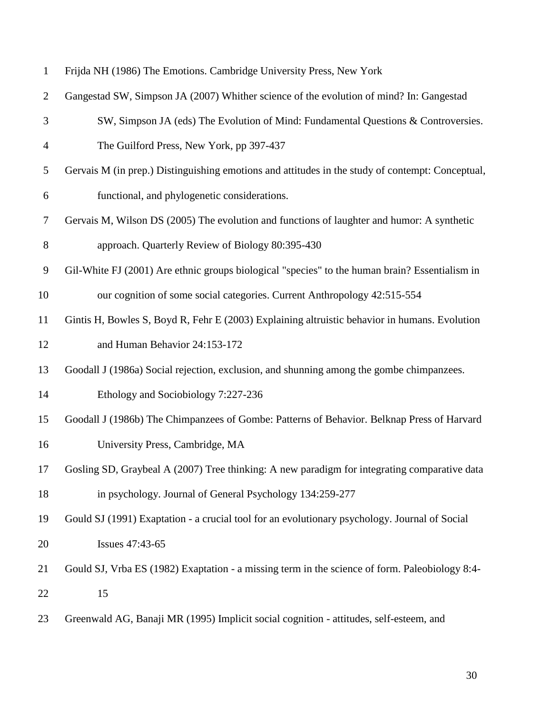| $\mathbf{1}$   | Frijda NH (1986) The Emotions. Cambridge University Press, New York                              |
|----------------|--------------------------------------------------------------------------------------------------|
| $\overline{2}$ | Gangestad SW, Simpson JA (2007) Whither science of the evolution of mind? In: Gangestad          |
| 3              | SW, Simpson JA (eds) The Evolution of Mind: Fundamental Questions & Controversies.               |
| 4              | The Guilford Press, New York, pp 397-437                                                         |
| 5              | Gervais M (in prep.) Distinguishing emotions and attitudes in the study of contempt: Conceptual, |
| 6              | functional, and phylogenetic considerations.                                                     |
| $\tau$         | Gervais M, Wilson DS (2005) The evolution and functions of laughter and humor: A synthetic       |
| 8              | approach. Quarterly Review of Biology 80:395-430                                                 |
| 9              | Gil-White FJ (2001) Are ethnic groups biological "species" to the human brain? Essentialism in   |
| 10             | our cognition of some social categories. Current Anthropology 42:515-554                         |
| 11             | Gintis H, Bowles S, Boyd R, Fehr E (2003) Explaining altruistic behavior in humans. Evolution    |
| 12             | and Human Behavior 24:153-172                                                                    |
| 13             | Goodall J (1986a) Social rejection, exclusion, and shunning among the gombe chimpanzees.         |
| 14             | Ethology and Sociobiology 7:227-236                                                              |
| 15             | Goodall J (1986b) The Chimpanzees of Gombe: Patterns of Behavior. Belknap Press of Harvard       |
| 16             | University Press, Cambridge, MA                                                                  |
| 17             | Gosling SD, Graybeal A (2007) Tree thinking: A new paradigm for integrating comparative data     |
| 18             | in psychology. Journal of General Psychology 134:259-277                                         |
| 19             | Gould SJ (1991) Exaptation - a crucial tool for an evolutionary psychology. Journal of Social    |
| 20             | Issues 47:43-65                                                                                  |
| 21             | Gould SJ, Vrba ES (1982) Exaptation - a missing term in the science of form. Paleobiology 8:4-   |
| 22             | 15                                                                                               |
| 23             | Greenwald AG, Banaji MR (1995) Implicit social cognition - attitudes, self-esteem, and           |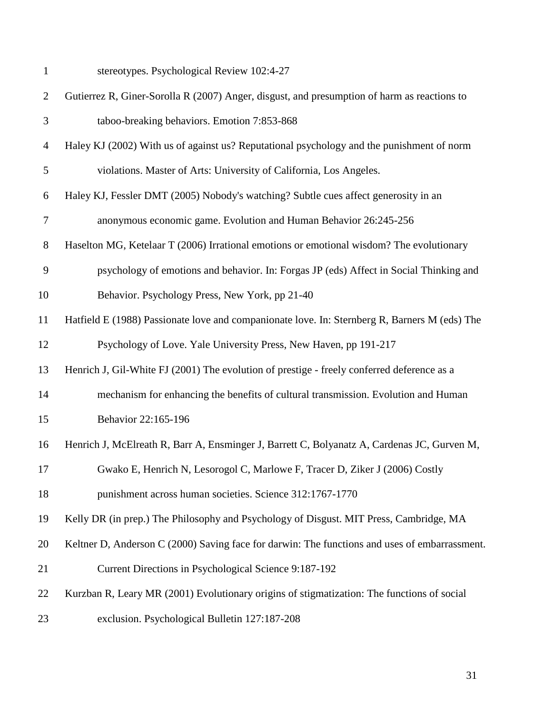| $\mathbf{1}$   | stereotypes. Psychological Review 102:4-27                                                    |
|----------------|-----------------------------------------------------------------------------------------------|
| $\overline{2}$ | Gutierrez R, Giner-Sorolla R (2007) Anger, disgust, and presumption of harm as reactions to   |
| 3              | taboo-breaking behaviors. Emotion 7:853-868                                                   |
| $\overline{4}$ | Haley KJ (2002) With us of against us? Reputational psychology and the punishment of norm     |
| 5              | violations. Master of Arts: University of California, Los Angeles.                            |
| 6              | Haley KJ, Fessler DMT (2005) Nobody's watching? Subtle cues affect generosity in an           |
| $\tau$         | anonymous economic game. Evolution and Human Behavior 26:245-256                              |
| $8\phantom{1}$ | Haselton MG, Ketelaar T (2006) Irrational emotions or emotional wisdom? The evolutionary      |
| 9              | psychology of emotions and behavior. In: Forgas JP (eds) Affect in Social Thinking and        |
| 10             | Behavior. Psychology Press, New York, pp 21-40                                                |
| 11             | Hatfield E (1988) Passionate love and companionate love. In: Sternberg R, Barners M (eds) The |
| 12             | Psychology of Love. Yale University Press, New Haven, pp 191-217                              |
| 13             | Henrich J, Gil-White FJ (2001) The evolution of prestige - freely conferred deference as a    |
| 14             | mechanism for enhancing the benefits of cultural transmission. Evolution and Human            |
| 15             | Behavior 22:165-196                                                                           |
| 16             | Henrich J, McElreath R, Barr A, Ensminger J, Barrett C, Bolyanatz A, Cardenas JC, Gurven M,   |
| 17             | Gwako E, Henrich N, Lesorogol C, Marlowe F, Tracer D, Ziker J (2006) Costly                   |
| 18             | punishment across human societies. Science 312:1767-1770                                      |
| 19             | Kelly DR (in prep.) The Philosophy and Psychology of Disgust. MIT Press, Cambridge, MA        |
| 20             | Keltner D, Anderson C (2000) Saving face for darwin: The functions and uses of embarrassment. |
| 21             | Current Directions in Psychological Science 9:187-192                                         |
| 22             | Kurzban R, Leary MR (2001) Evolutionary origins of stigmatization: The functions of social    |
| 23             | exclusion. Psychological Bulletin 127:187-208                                                 |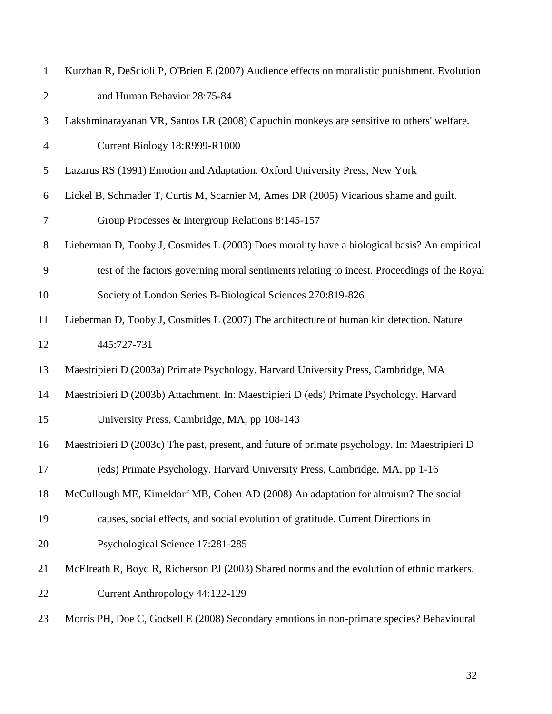| $\mathbf{1}$   | Kurzban R, DeScioli P, O'Brien E (2007) Audience effects on moralistic punishment. Evolution   |
|----------------|------------------------------------------------------------------------------------------------|
| $\overline{2}$ | and Human Behavior 28:75-84                                                                    |
| 3              | Lakshminarayanan VR, Santos LR (2008) Capuchin monkeys are sensitive to others' welfare.       |
| $\overline{4}$ | Current Biology 18:R999-R1000                                                                  |
| 5              | Lazarus RS (1991) Emotion and Adaptation. Oxford University Press, New York                    |
| 6              | Lickel B, Schmader T, Curtis M, Scarnier M, Ames DR (2005) Vicarious shame and guilt.          |
| $\tau$         | Group Processes & Intergroup Relations 8:145-157                                               |
| 8              | Lieberman D, Tooby J, Cosmides L (2003) Does morality have a biological basis? An empirical    |
| 9              | test of the factors governing moral sentiments relating to incest. Proceedings of the Royal    |
| 10             | Society of London Series B-Biological Sciences 270:819-826                                     |
| 11             | Lieberman D, Tooby J, Cosmides L (2007) The architecture of human kin detection. Nature        |
| 12             | 445:727-731                                                                                    |
| 13             | Maestripieri D (2003a) Primate Psychology. Harvard University Press, Cambridge, MA             |
| 14             | Maestripieri D (2003b) Attachment. In: Maestripieri D (eds) Primate Psychology. Harvard        |
| 15             | University Press, Cambridge, MA, pp 108-143                                                    |
| 16             | Maestripieri D (2003c) The past, present, and future of primate psychology. In: Maestripieri D |
| 17             | (eds) Primate Psychology. Harvard University Press, Cambridge, MA, pp 1-16                     |
| 18             | McCullough ME, Kimeldorf MB, Cohen AD (2008) An adaptation for altruism? The social            |
| 19             | causes, social effects, and social evolution of gratitude. Current Directions in               |
| 20             | Psychological Science 17:281-285                                                               |
| 21             | McElreath R, Boyd R, Richerson PJ (2003) Shared norms and the evolution of ethnic markers.     |
| 22             | Current Anthropology 44:122-129                                                                |
| 23             | Morris PH, Doe C, Godsell E (2008) Secondary emotions in non-primate species? Behavioural      |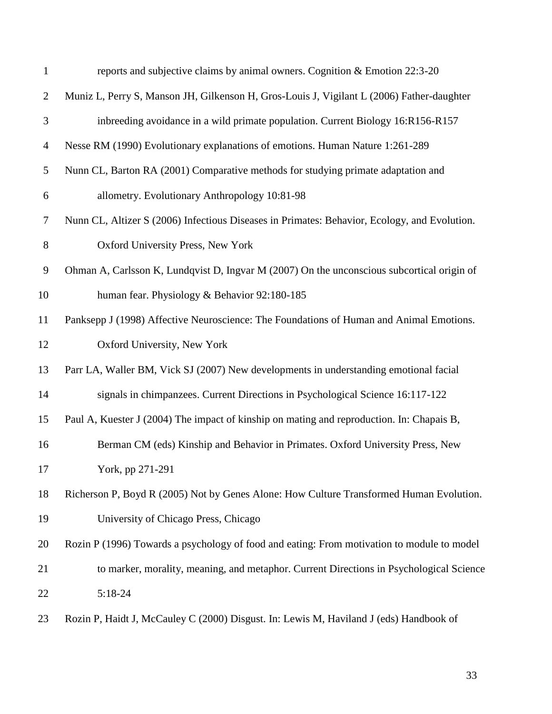| $\mathbf{1}$   | reports and subjective claims by animal owners. Cognition $&$ Emotion 22:3-20                |
|----------------|----------------------------------------------------------------------------------------------|
| $\overline{2}$ | Muniz L, Perry S, Manson JH, Gilkenson H, Gros-Louis J, Vigilant L (2006) Father-daughter    |
| 3              | inbreeding avoidance in a wild primate population. Current Biology 16:R156-R157              |
| $\overline{4}$ | Nesse RM (1990) Evolutionary explanations of emotions. Human Nature 1:261-289                |
| 5              | Nunn CL, Barton RA (2001) Comparative methods for studying primate adaptation and            |
| 6              | allometry. Evolutionary Anthropology 10:81-98                                                |
| $\tau$         | Nunn CL, Altizer S (2006) Infectious Diseases in Primates: Behavior, Ecology, and Evolution. |
| $8\,$          | Oxford University Press, New York                                                            |
| $\overline{9}$ | Ohman A, Carlsson K, Lundqvist D, Ingvar M (2007) On the unconscious subcortical origin of   |
| 10             | human fear. Physiology & Behavior 92:180-185                                                 |
| 11             | Panksepp J (1998) Affective Neuroscience: The Foundations of Human and Animal Emotions.      |
| 12             | Oxford University, New York                                                                  |
| 13             | Parr LA, Waller BM, Vick SJ (2007) New developments in understanding emotional facial        |
| 14             | signals in chimpanzees. Current Directions in Psychological Science 16:117-122               |
| 15             | Paul A, Kuester J (2004) The impact of kinship on mating and reproduction. In: Chapais B,    |
| 16             | Berman CM (eds) Kinship and Behavior in Primates. Oxford University Press, New               |
| 17             | York, pp 271-291                                                                             |
| 18             | Richerson P, Boyd R (2005) Not by Genes Alone: How Culture Transformed Human Evolution.      |
| 19             | University of Chicago Press, Chicago                                                         |
| 20             | Rozin P (1996) Towards a psychology of food and eating: From motivation to module to model   |
| 21             | to marker, morality, meaning, and metaphor. Current Directions in Psychological Science      |
| 22             | $5:18-24$                                                                                    |
| 23             | Rozin P, Haidt J, McCauley C (2000) Disgust. In: Lewis M, Haviland J (eds) Handbook of       |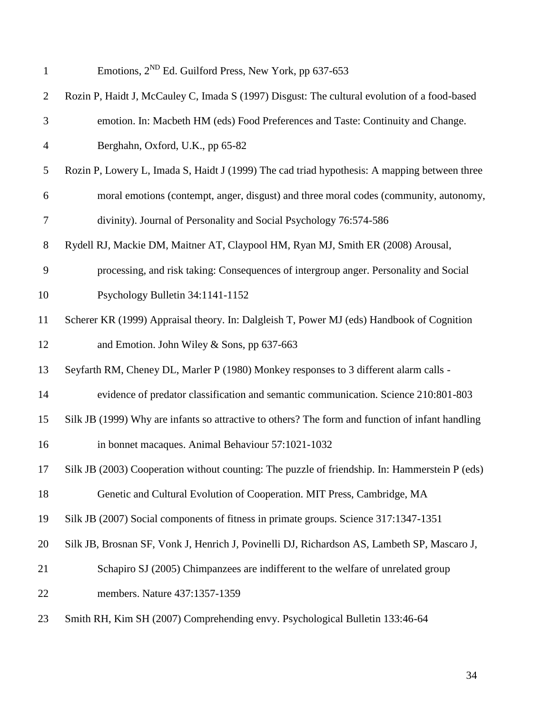| $\mathbf{1}$   | Emotions, $2^{ND}$ Ed. Guilford Press, New York, pp 637-653                                      |
|----------------|--------------------------------------------------------------------------------------------------|
| $\overline{2}$ | Rozin P, Haidt J, McCauley C, Imada S (1997) Disgust: The cultural evolution of a food-based     |
| 3              | emotion. In: Macbeth HM (eds) Food Preferences and Taste: Continuity and Change.                 |
| $\overline{4}$ | Berghahn, Oxford, U.K., pp 65-82                                                                 |
| 5              | Rozin P, Lowery L, Imada S, Haidt J (1999) The cad triad hypothesis: A mapping between three     |
| 6              | moral emotions (contempt, anger, disgust) and three moral codes (community, autonomy,            |
| 7              | divinity). Journal of Personality and Social Psychology 76:574-586                               |
| 8              | Rydell RJ, Mackie DM, Maitner AT, Claypool HM, Ryan MJ, Smith ER (2008) Arousal,                 |
| 9              | processing, and risk taking: Consequences of intergroup anger. Personality and Social            |
| 10             | Psychology Bulletin 34:1141-1152                                                                 |
| 11             | Scherer KR (1999) Appraisal theory. In: Dalgleish T, Power MJ (eds) Handbook of Cognition        |
| 12             | and Emotion. John Wiley & Sons, pp 637-663                                                       |
| 13             | Seyfarth RM, Cheney DL, Marler P (1980) Monkey responses to 3 different alarm calls -            |
| 14             | evidence of predator classification and semantic communication. Science 210:801-803              |
| 15             | Silk JB (1999) Why are infants so attractive to others? The form and function of infant handling |
| 16             | in bonnet macaques. Animal Behaviour 57:1021-1032                                                |
| 17             | Silk JB (2003) Cooperation without counting: The puzzle of friendship. In: Hammerstein P (eds)   |
| 18             | Genetic and Cultural Evolution of Cooperation. MIT Press, Cambridge, MA                          |
| 19             | Silk JB (2007) Social components of fitness in primate groups. Science 317:1347-1351             |
| 20             | Silk JB, Brosnan SF, Vonk J, Henrich J, Povinelli DJ, Richardson AS, Lambeth SP, Mascaro J,      |
| 21             | Schapiro SJ (2005) Chimpanzees are indifferent to the welfare of unrelated group                 |
| 22             | members. Nature 437:1357-1359                                                                    |
| 23             | Smith RH, Kim SH (2007) Comprehending envy. Psychological Bulletin 133:46-64                     |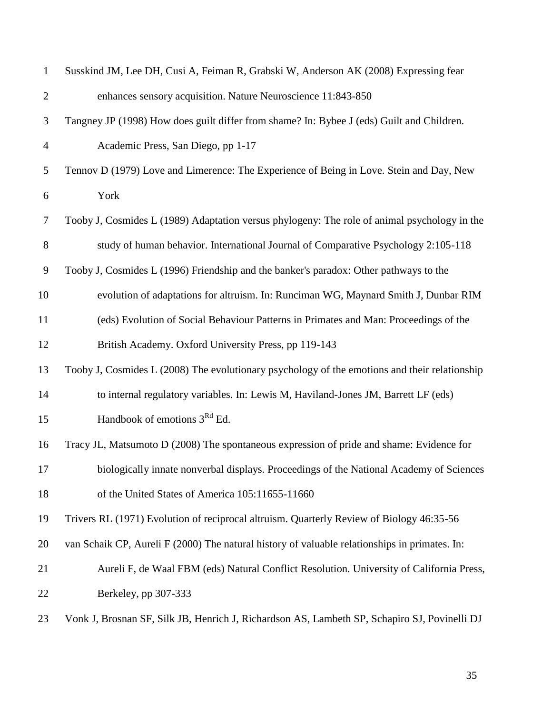| $\mathbf{1}$   | Susskind JM, Lee DH, Cusi A, Feiman R, Grabski W, Anderson AK (2008) Expressing fear          |
|----------------|-----------------------------------------------------------------------------------------------|
| $\overline{2}$ | enhances sensory acquisition. Nature Neuroscience 11:843-850                                  |
| 3              | Tangney JP (1998) How does guilt differ from shame? In: Bybee J (eds) Guilt and Children.     |
| $\overline{4}$ | Academic Press, San Diego, pp 1-17                                                            |
| 5              | Tennov D (1979) Love and Limerence: The Experience of Being in Love. Stein and Day, New       |
| 6              | York                                                                                          |
| 7              | Tooby J, Cosmides L (1989) Adaptation versus phylogeny: The role of animal psychology in the  |
| 8              | study of human behavior. International Journal of Comparative Psychology 2:105-118            |
| $\overline{9}$ | Tooby J, Cosmides L (1996) Friendship and the banker's paradox: Other pathways to the         |
| 10             | evolution of adaptations for altruism. In: Runciman WG, Maynard Smith J, Dunbar RIM           |
| 11             | (eds) Evolution of Social Behaviour Patterns in Primates and Man: Proceedings of the          |
| 12             | British Academy. Oxford University Press, pp 119-143                                          |
| 13             | Tooby J, Cosmides L (2008) The evolutionary psychology of the emotions and their relationship |
| 14             | to internal regulatory variables. In: Lewis M, Haviland-Jones JM, Barrett LF (eds)            |
| 15             | Handbook of emotions $3^{Rd}$ Ed.                                                             |
| 16             | Tracy JL, Matsumoto D (2008) The spontaneous expression of pride and shame: Evidence for      |
| 17             | biologically innate nonverbal displays. Proceedings of the National Academy of Sciences       |
| 18             | of the United States of America 105:11655-11660                                               |
| 19             | Trivers RL (1971) Evolution of reciprocal altruism. Quarterly Review of Biology 46:35-56      |
| 20             | van Schaik CP, Aureli F (2000) The natural history of valuable relationships in primates. In: |
| 21             | Aureli F, de Waal FBM (eds) Natural Conflict Resolution. University of California Press,      |
| 22             | Berkeley, pp 307-333                                                                          |
| 23             | Vonk J, Brosnan SF, Silk JB, Henrich J, Richardson AS, Lambeth SP, Schapiro SJ, Povinelli DJ  |